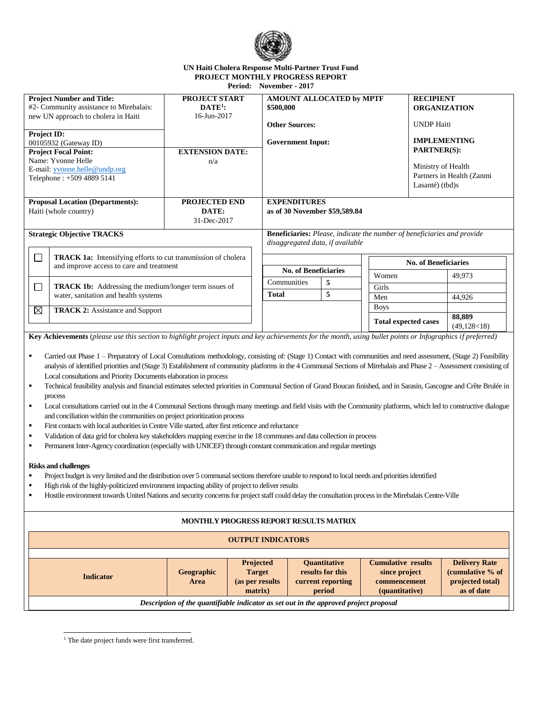

## **UN Haiti Cholera Response Multi-Partner Trust Fund PROJECT MONTHLY PROGRESS REPORT Period: November - 2017**

| <b>Project Number and Title:</b><br>PROJECT START<br>$\mathbf{DATE}^1$ :<br>#2- Community assistance to Mirebalais:                                                                                                                                                                                                                                                                                                                                                                                                                                                                                                                                                                                                                                                                                                                                                                                                                                                                                                                                                                                                                                                                                                                                                                                                                                                                                                                                                                                                                                                                                                                                                                              |                    |                                                                         | AMOUNT ALLOCATED by MPTF<br>\$500,000 |                                       |  |                               | <b>RECIPIENT</b><br><b>ORGANIZATION</b> |                                      |  |  |  |  |
|--------------------------------------------------------------------------------------------------------------------------------------------------------------------------------------------------------------------------------------------------------------------------------------------------------------------------------------------------------------------------------------------------------------------------------------------------------------------------------------------------------------------------------------------------------------------------------------------------------------------------------------------------------------------------------------------------------------------------------------------------------------------------------------------------------------------------------------------------------------------------------------------------------------------------------------------------------------------------------------------------------------------------------------------------------------------------------------------------------------------------------------------------------------------------------------------------------------------------------------------------------------------------------------------------------------------------------------------------------------------------------------------------------------------------------------------------------------------------------------------------------------------------------------------------------------------------------------------------------------------------------------------------------------------------------------------------|--------------------|-------------------------------------------------------------------------|---------------------------------------|---------------------------------------|--|-------------------------------|-----------------------------------------|--------------------------------------|--|--|--|--|
| new UN approach to cholera in Haiti                                                                                                                                                                                                                                                                                                                                                                                                                                                                                                                                                                                                                                                                                                                                                                                                                                                                                                                                                                                                                                                                                                                                                                                                                                                                                                                                                                                                                                                                                                                                                                                                                                                              | 16-Jun-2017        |                                                                         | <b>Other Sources:</b>                 |                                       |  |                               |                                         |                                      |  |  |  |  |
| Project ID:                                                                                                                                                                                                                                                                                                                                                                                                                                                                                                                                                                                                                                                                                                                                                                                                                                                                                                                                                                                                                                                                                                                                                                                                                                                                                                                                                                                                                                                                                                                                                                                                                                                                                      |                    |                                                                         |                                       |                                       |  |                               |                                         | <b>UNDP</b> Haiti                    |  |  |  |  |
| 00105932 (Gateway ID)                                                                                                                                                                                                                                                                                                                                                                                                                                                                                                                                                                                                                                                                                                                                                                                                                                                                                                                                                                                                                                                                                                                                                                                                                                                                                                                                                                                                                                                                                                                                                                                                                                                                            |                    |                                                                         | <b>Government Input:</b>              |                                       |  |                               | <b>IMPLEMENTING</b>                     |                                      |  |  |  |  |
| <b>Project Focal Point:</b><br><b>EXTENSION DATE:</b>                                                                                                                                                                                                                                                                                                                                                                                                                                                                                                                                                                                                                                                                                                                                                                                                                                                                                                                                                                                                                                                                                                                                                                                                                                                                                                                                                                                                                                                                                                                                                                                                                                            |                    |                                                                         |                                       |                                       |  |                               |                                         | <b>PARTNER(S):</b>                   |  |  |  |  |
| Name: Yvonne Helle                                                                                                                                                                                                                                                                                                                                                                                                                                                                                                                                                                                                                                                                                                                                                                                                                                                                                                                                                                                                                                                                                                                                                                                                                                                                                                                                                                                                                                                                                                                                                                                                                                                                               | n/a                |                                                                         |                                       |                                       |  | Ministry of Health            |                                         |                                      |  |  |  |  |
| E-mail: yvonne.helle@undp.org                                                                                                                                                                                                                                                                                                                                                                                                                                                                                                                                                                                                                                                                                                                                                                                                                                                                                                                                                                                                                                                                                                                                                                                                                                                                                                                                                                                                                                                                                                                                                                                                                                                                    |                    |                                                                         |                                       |                                       |  | Partners in Health (Zanmi     |                                         |                                      |  |  |  |  |
| Telephone: +509 4889 5141                                                                                                                                                                                                                                                                                                                                                                                                                                                                                                                                                                                                                                                                                                                                                                                                                                                                                                                                                                                                                                                                                                                                                                                                                                                                                                                                                                                                                                                                                                                                                                                                                                                                        |                    |                                                                         |                                       |                                       |  |                               | Lasanté) (tbd)s                         |                                      |  |  |  |  |
| <b>Proposal Location (Departments):</b>                                                                                                                                                                                                                                                                                                                                                                                                                                                                                                                                                                                                                                                                                                                                                                                                                                                                                                                                                                                                                                                                                                                                                                                                                                                                                                                                                                                                                                                                                                                                                                                                                                                          | PROJECTED END      |                                                                         | <b>EXPENDITURES</b>                   |                                       |  |                               |                                         |                                      |  |  |  |  |
| Haiti (whole country)<br>DATE:                                                                                                                                                                                                                                                                                                                                                                                                                                                                                                                                                                                                                                                                                                                                                                                                                                                                                                                                                                                                                                                                                                                                                                                                                                                                                                                                                                                                                                                                                                                                                                                                                                                                   |                    |                                                                         | as of 30 November \$59,589.84         |                                       |  |                               |                                         |                                      |  |  |  |  |
|                                                                                                                                                                                                                                                                                                                                                                                                                                                                                                                                                                                                                                                                                                                                                                                                                                                                                                                                                                                                                                                                                                                                                                                                                                                                                                                                                                                                                                                                                                                                                                                                                                                                                                  | 31-Dec-2017        |                                                                         |                                       |                                       |  |                               |                                         |                                      |  |  |  |  |
| <b>Strategic Objective TRACKS</b>                                                                                                                                                                                                                                                                                                                                                                                                                                                                                                                                                                                                                                                                                                                                                                                                                                                                                                                                                                                                                                                                                                                                                                                                                                                                                                                                                                                                                                                                                                                                                                                                                                                                |                    | Beneficiaries: Please, indicate the number of beneficiaries and provide |                                       |                                       |  |                               |                                         |                                      |  |  |  |  |
| disaggregated data, if available                                                                                                                                                                                                                                                                                                                                                                                                                                                                                                                                                                                                                                                                                                                                                                                                                                                                                                                                                                                                                                                                                                                                                                                                                                                                                                                                                                                                                                                                                                                                                                                                                                                                 |                    |                                                                         |                                       |                                       |  |                               |                                         |                                      |  |  |  |  |
| TRACK 1a: Intensifying efforts to cut transmission of cholera<br>$\Box$<br>and improve access to care and treatment                                                                                                                                                                                                                                                                                                                                                                                                                                                                                                                                                                                                                                                                                                                                                                                                                                                                                                                                                                                                                                                                                                                                                                                                                                                                                                                                                                                                                                                                                                                                                                              |                    |                                                                         |                                       |                                       |  |                               | <b>No. of Beneficiaries</b>             |                                      |  |  |  |  |
|                                                                                                                                                                                                                                                                                                                                                                                                                                                                                                                                                                                                                                                                                                                                                                                                                                                                                                                                                                                                                                                                                                                                                                                                                                                                                                                                                                                                                                                                                                                                                                                                                                                                                                  |                    |                                                                         | <b>No. of Beneficiaries</b>           |                                       |  | Women                         |                                         | 49,973                               |  |  |  |  |
| <b>TRACK 1b:</b> Addressing the medium/longer term issues of<br>$\Box$<br>water, sanitation and health systems<br>⊠<br><b>TRACK 2: Assistance and Support</b>                                                                                                                                                                                                                                                                                                                                                                                                                                                                                                                                                                                                                                                                                                                                                                                                                                                                                                                                                                                                                                                                                                                                                                                                                                                                                                                                                                                                                                                                                                                                    |                    |                                                                         | Communities                           | 5                                     |  | Girls                         |                                         |                                      |  |  |  |  |
|                                                                                                                                                                                                                                                                                                                                                                                                                                                                                                                                                                                                                                                                                                                                                                                                                                                                                                                                                                                                                                                                                                                                                                                                                                                                                                                                                                                                                                                                                                                                                                                                                                                                                                  |                    | <b>Total</b>                                                            |                                       | 5                                     |  | Men                           |                                         | 44,926                               |  |  |  |  |
|                                                                                                                                                                                                                                                                                                                                                                                                                                                                                                                                                                                                                                                                                                                                                                                                                                                                                                                                                                                                                                                                                                                                                                                                                                                                                                                                                                                                                                                                                                                                                                                                                                                                                                  |                    |                                                                         |                                       |                                       |  | <b>Boys</b>                   |                                         |                                      |  |  |  |  |
|                                                                                                                                                                                                                                                                                                                                                                                                                                                                                                                                                                                                                                                                                                                                                                                                                                                                                                                                                                                                                                                                                                                                                                                                                                                                                                                                                                                                                                                                                                                                                                                                                                                                                                  |                    |                                                                         |                                       |                                       |  | <b>Total expected cases</b>   |                                         | 88,889<br>(49, 128 < 18)             |  |  |  |  |
| Key Achievements (please use this section to highlight project inputs and key achievements for the month, using bullet points or Infographics if preferred)                                                                                                                                                                                                                                                                                                                                                                                                                                                                                                                                                                                                                                                                                                                                                                                                                                                                                                                                                                                                                                                                                                                                                                                                                                                                                                                                                                                                                                                                                                                                      |                    |                                                                         |                                       |                                       |  |                               |                                         |                                      |  |  |  |  |
| Carried out Phase 1 - Preparatory of Local Consultations methodology, consisting of: (Stage 1) Contact with communities and need assessment, (Stage 2) Feasibility<br>٠<br>analysis of identified priorities and (Stage 3) Establishment of community platforms in the 4 Communal Sections of Mirebalais and Phase 2 - Assessment consisting of<br>Local consultations and Priority Documents elaboration in process<br>Technical feasibility analysis and financial estimates selected priorities in Communal Section of Grand Boucan finished, and in Sarasin, Gascogne and Crête Brulée in<br>٠<br>process<br>Local consultations carried out in the 4 Communal Sections through many meetings and field visits with the Community platforms, which led to constructive dialogue<br>٠<br>and conciliation within the communities on project prioritization process<br>First contacts with local authorities in Centre Ville started, after first reticence and reluctance<br>٠<br>Validation of data grid for cholera key stakeholders mapping exercise in the 18 communes and data collection in process<br>٠<br>Permanent Inter-Agency coordination (especially with UNICEF) through constant communication and regular meetings<br>٠<br><b>Risks and challenges</b><br>Project budget is very limited and the distribution over 5 communal sections therefore unable to respond to local needs and priorities identified<br>High risk of the highly-politicized environment impacting ability of project to deliver results<br>Hostile environment towards United Nations and security concerns for project staff could delay the consultation process in the Mirebalais Centre-Ville<br>٠ |                    |                                                                         |                                       |                                       |  |                               |                                         |                                      |  |  |  |  |
| MONTHLY PROGRESS REPORT RESULTS MATRIX                                                                                                                                                                                                                                                                                                                                                                                                                                                                                                                                                                                                                                                                                                                                                                                                                                                                                                                                                                                                                                                                                                                                                                                                                                                                                                                                                                                                                                                                                                                                                                                                                                                           |                    |                                                                         |                                       |                                       |  |                               |                                         |                                      |  |  |  |  |
| <b>OUTPUT INDICATORS</b>                                                                                                                                                                                                                                                                                                                                                                                                                                                                                                                                                                                                                                                                                                                                                                                                                                                                                                                                                                                                                                                                                                                                                                                                                                                                                                                                                                                                                                                                                                                                                                                                                                                                         |                    |                                                                         |                                       |                                       |  |                               |                                         |                                      |  |  |  |  |
|                                                                                                                                                                                                                                                                                                                                                                                                                                                                                                                                                                                                                                                                                                                                                                                                                                                                                                                                                                                                                                                                                                                                                                                                                                                                                                                                                                                                                                                                                                                                                                                                                                                                                                  |                    |                                                                         |                                       |                                       |  |                               |                                         |                                      |  |  |  |  |
|                                                                                                                                                                                                                                                                                                                                                                                                                                                                                                                                                                                                                                                                                                                                                                                                                                                                                                                                                                                                                                                                                                                                                                                                                                                                                                                                                                                                                                                                                                                                                                                                                                                                                                  |                    | Projected                                                               |                                       | <b>Quantitative</b>                   |  | <b>Cumulative results</b>     |                                         | <b>Delivery Rate</b>                 |  |  |  |  |
| <b>Indicator</b>                                                                                                                                                                                                                                                                                                                                                                                                                                                                                                                                                                                                                                                                                                                                                                                                                                                                                                                                                                                                                                                                                                                                                                                                                                                                                                                                                                                                                                                                                                                                                                                                                                                                                 | Geographic<br>Area | <b>Target</b><br>(as per results                                        |                                       | results for this<br>current reporting |  | since project<br>commencement |                                         | (cumulative % of<br>projected total) |  |  |  |  |
|                                                                                                                                                                                                                                                                                                                                                                                                                                                                                                                                                                                                                                                                                                                                                                                                                                                                                                                                                                                                                                                                                                                                                                                                                                                                                                                                                                                                                                                                                                                                                                                                                                                                                                  |                    |                                                                         |                                       |                                       |  |                               |                                         |                                      |  |  |  |  |

**matrix)**

*Description of the quantifiable indicator as set out in the approved project proposal*

**period**

**(quantitative)**

**as of date**

j <sup>1</sup> The date project funds were first transferred.